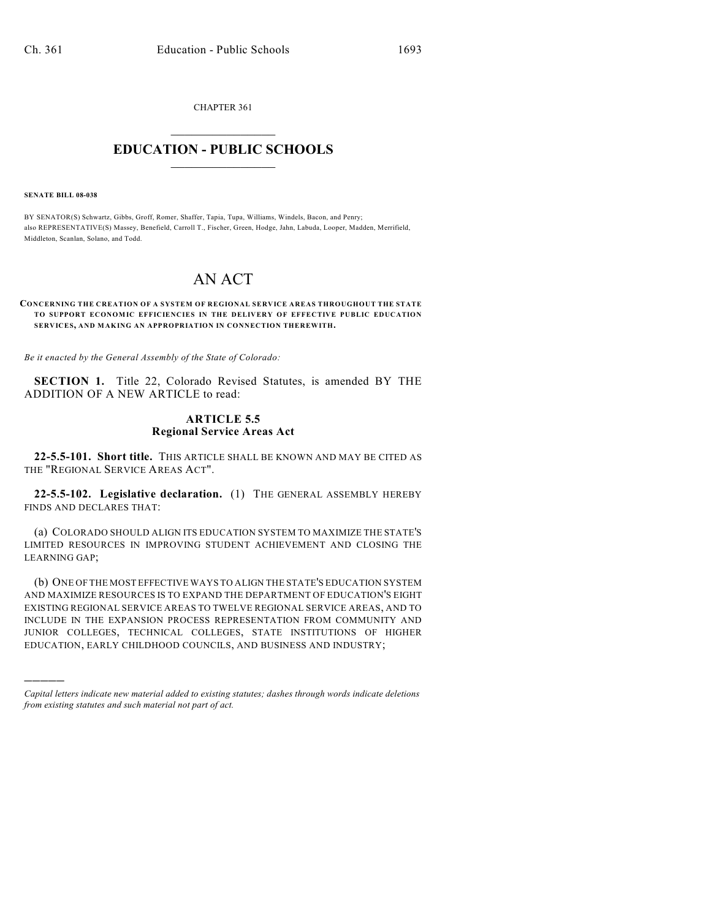CHAPTER 361  $\mathcal{L}_\text{max}$  . The set of the set of the set of the set of the set of the set of the set of the set of the set of the set of the set of the set of the set of the set of the set of the set of the set of the set of the set

## **EDUCATION - PUBLIC SCHOOLS**  $\_$   $\_$   $\_$   $\_$   $\_$   $\_$   $\_$   $\_$   $\_$

**SENATE BILL 08-038**

)))))

BY SENATOR(S) Schwartz, Gibbs, Groff, Romer, Shaffer, Tapia, Tupa, Williams, Windels, Bacon, and Penry; also REPRESENTATIVE(S) Massey, Benefield, Carroll T., Fischer, Green, Hodge, Jahn, Labuda, Looper, Madden, Merrifield, Middleton, Scanlan, Solano, and Todd.

## AN ACT

## **CONCERNING THE CREATION OF A SYSTEM OF REGIONAL SERVICE AREAS THROUGHOUT THE STATE TO SUPPORT ECONOMIC EFFICIENCIES IN THE DELIVERY OF EFFECTIVE PUBLIC EDUCATION SERVICES, AND MAKING AN APPROPRIATION IN CONNECTION THEREWITH.**

*Be it enacted by the General Assembly of the State of Colorado:*

**SECTION 1.** Title 22, Colorado Revised Statutes, is amended BY THE ADDITION OF A NEW ARTICLE to read:

## **ARTICLE 5.5 Regional Service Areas Act**

**22-5.5-101. Short title.** THIS ARTICLE SHALL BE KNOWN AND MAY BE CITED AS THE "REGIONAL SERVICE AREAS ACT".

**22-5.5-102. Legislative declaration.** (1) THE GENERAL ASSEMBLY HEREBY FINDS AND DECLARES THAT:

(a) COLORADO SHOULD ALIGN ITS EDUCATION SYSTEM TO MAXIMIZE THE STATE'S LIMITED RESOURCES IN IMPROVING STUDENT ACHIEVEMENT AND CLOSING THE LEARNING GAP;

(b) ONE OF THE MOST EFFECTIVE WAYS TO ALIGN THE STATE'S EDUCATION SYSTEM AND MAXIMIZE RESOURCES IS TO EXPAND THE DEPARTMENT OF EDUCATION'S EIGHT EXISTING REGIONAL SERVICE AREAS TO TWELVE REGIONAL SERVICE AREAS, AND TO INCLUDE IN THE EXPANSION PROCESS REPRESENTATION FROM COMMUNITY AND JUNIOR COLLEGES, TECHNICAL COLLEGES, STATE INSTITUTIONS OF HIGHER EDUCATION, EARLY CHILDHOOD COUNCILS, AND BUSINESS AND INDUSTRY;

*Capital letters indicate new material added to existing statutes; dashes through words indicate deletions from existing statutes and such material not part of act.*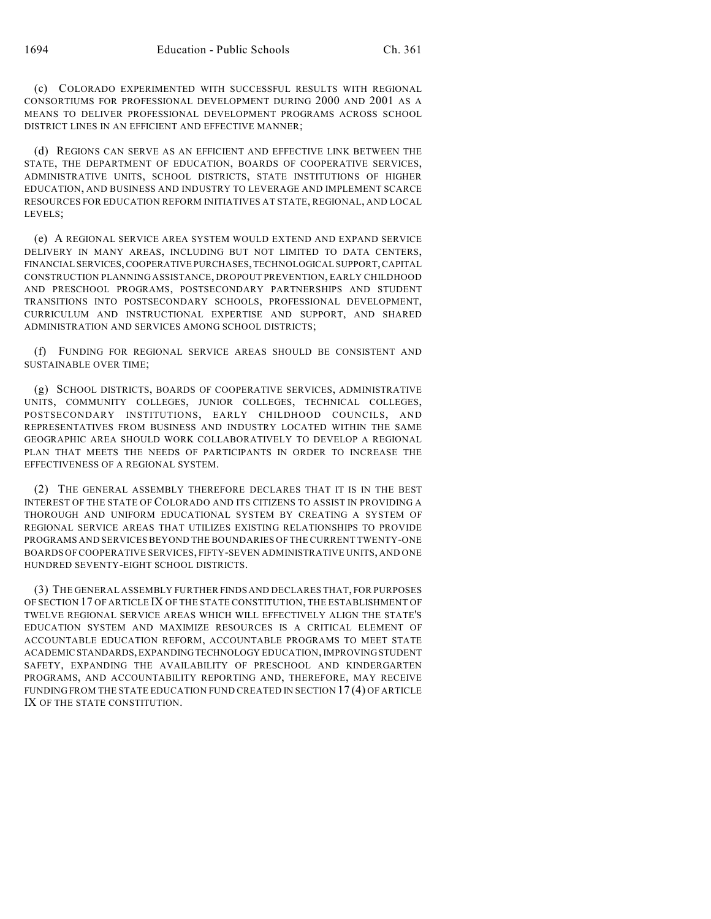(c) COLORADO EXPERIMENTED WITH SUCCESSFUL RESULTS WITH REGIONAL CONSORTIUMS FOR PROFESSIONAL DEVELOPMENT DURING 2000 AND 2001 AS A MEANS TO DELIVER PROFESSIONAL DEVELOPMENT PROGRAMS ACROSS SCHOOL DISTRICT LINES IN AN EFFICIENT AND EFFECTIVE MANNER;

(d) REGIONS CAN SERVE AS AN EFFICIENT AND EFFECTIVE LINK BETWEEN THE STATE, THE DEPARTMENT OF EDUCATION, BOARDS OF COOPERATIVE SERVICES, ADMINISTRATIVE UNITS, SCHOOL DISTRICTS, STATE INSTITUTIONS OF HIGHER EDUCATION, AND BUSINESS AND INDUSTRY TO LEVERAGE AND IMPLEMENT SCARCE RESOURCES FOR EDUCATION REFORM INITIATIVES AT STATE, REGIONAL, AND LOCAL LEVELS;

(e) A REGIONAL SERVICE AREA SYSTEM WOULD EXTEND AND EXPAND SERVICE DELIVERY IN MANY AREAS, INCLUDING BUT NOT LIMITED TO DATA CENTERS, FINANCIAL SERVICES, COOPERATIVE PURCHASES, TECHNOLOGICAL SUPPORT, CAPITAL CONSTRUCTION PLANNING ASSISTANCE, DROPOUT PREVENTION, EARLY CHILDHOOD AND PRESCHOOL PROGRAMS, POSTSECONDARY PARTNERSHIPS AND STUDENT TRANSITIONS INTO POSTSECONDARY SCHOOLS, PROFESSIONAL DEVELOPMENT, CURRICULUM AND INSTRUCTIONAL EXPERTISE AND SUPPORT, AND SHARED ADMINISTRATION AND SERVICES AMONG SCHOOL DISTRICTS;

(f) FUNDING FOR REGIONAL SERVICE AREAS SHOULD BE CONSISTENT AND SUSTAINABLE OVER TIME;

(g) SCHOOL DISTRICTS, BOARDS OF COOPERATIVE SERVICES, ADMINISTRATIVE UNITS, COMMUNITY COLLEGES, JUNIOR COLLEGES, TECHNICAL COLLEGES, POSTSECONDARY INSTITUTIONS, EARLY CHILDHOOD COUNCILS, AND REPRESENTATIVES FROM BUSINESS AND INDUSTRY LOCATED WITHIN THE SAME GEOGRAPHIC AREA SHOULD WORK COLLABORATIVELY TO DEVELOP A REGIONAL PLAN THAT MEETS THE NEEDS OF PARTICIPANTS IN ORDER TO INCREASE THE EFFECTIVENESS OF A REGIONAL SYSTEM.

(2) THE GENERAL ASSEMBLY THEREFORE DECLARES THAT IT IS IN THE BEST INTEREST OF THE STATE OF COLORADO AND ITS CITIZENS TO ASSIST IN PROVIDING A THOROUGH AND UNIFORM EDUCATIONAL SYSTEM BY CREATING A SYSTEM OF REGIONAL SERVICE AREAS THAT UTILIZES EXISTING RELATIONSHIPS TO PROVIDE PROGRAMS AND SERVICES BEYOND THE BOUNDARIES OF THE CURRENT TWENTY-ONE BOARDS OF COOPERATIVE SERVICES, FIFTY-SEVEN ADMINISTRATIVE UNITS, AND ONE HUNDRED SEVENTY-EIGHT SCHOOL DISTRICTS.

(3) THE GENERAL ASSEMBLY FURTHER FINDS AND DECLARES THAT, FOR PURPOSES OF SECTION 17 OF ARTICLE IX OF THE STATE CONSTITUTION, THE ESTABLISHMENT OF TWELVE REGIONAL SERVICE AREAS WHICH WILL EFFECTIVELY ALIGN THE STATE'S EDUCATION SYSTEM AND MAXIMIZE RESOURCES IS A CRITICAL ELEMENT OF ACCOUNTABLE EDUCATION REFORM, ACCOUNTABLE PROGRAMS TO MEET STATE ACADEMIC STANDARDS, EXPANDING TECHNOLOGY EDUCATION, IMPROVING STUDENT SAFETY, EXPANDING THE AVAILABILITY OF PRESCHOOL AND KINDERGARTEN PROGRAMS, AND ACCOUNTABILITY REPORTING AND, THEREFORE, MAY RECEIVE FUNDING FROM THE STATE EDUCATION FUND CREATED IN SECTION 17 (4) OF ARTICLE IX OF THE STATE CONSTITUTION.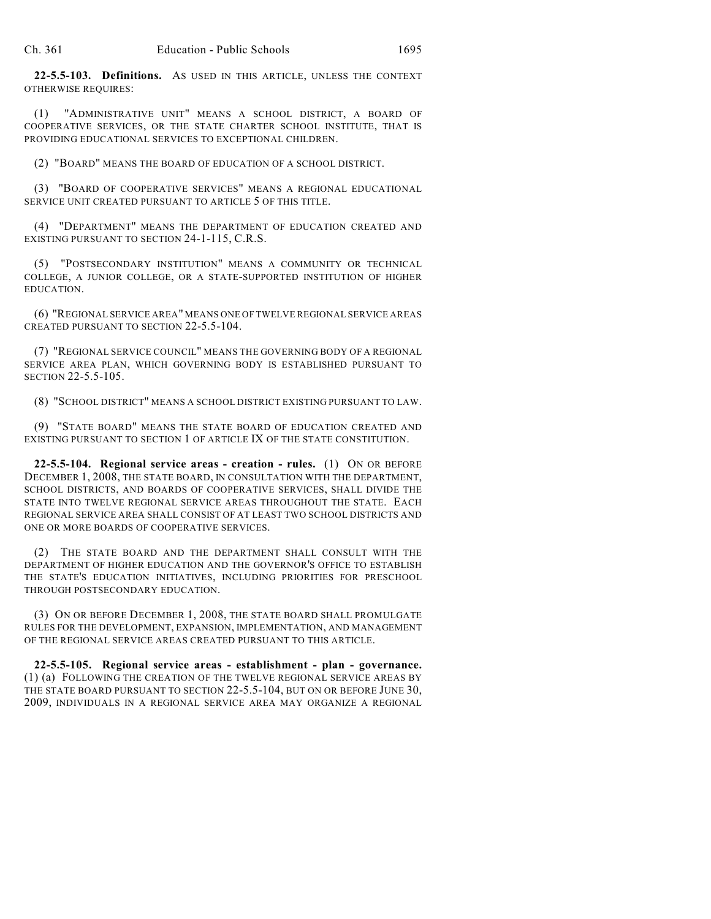**22-5.5-103. Definitions.** AS USED IN THIS ARTICLE, UNLESS THE CONTEXT OTHERWISE REQUIRES:

(1) "ADMINISTRATIVE UNIT" MEANS A SCHOOL DISTRICT, A BOARD OF COOPERATIVE SERVICES, OR THE STATE CHARTER SCHOOL INSTITUTE, THAT IS PROVIDING EDUCATIONAL SERVICES TO EXCEPTIONAL CHILDREN.

(2) "BOARD" MEANS THE BOARD OF EDUCATION OF A SCHOOL DISTRICT.

(3) "BOARD OF COOPERATIVE SERVICES" MEANS A REGIONAL EDUCATIONAL SERVICE UNIT CREATED PURSUANT TO ARTICLE 5 OF THIS TITLE.

(4) "DEPARTMENT" MEANS THE DEPARTMENT OF EDUCATION CREATED AND EXISTING PURSUANT TO SECTION 24-1-115, C.R.S.

(5) "POSTSECONDARY INSTITUTION" MEANS A COMMUNITY OR TECHNICAL COLLEGE, A JUNIOR COLLEGE, OR A STATE-SUPPORTED INSTITUTION OF HIGHER EDUCATION.

(6) "REGIONAL SERVICE AREA" MEANS ONE OF TWELVE REGIONAL SERVICE AREAS CREATED PURSUANT TO SECTION 22-5.5-104.

(7) "REGIONAL SERVICE COUNCIL" MEANS THE GOVERNING BODY OF A REGIONAL SERVICE AREA PLAN, WHICH GOVERNING BODY IS ESTABLISHED PURSUANT TO SECTION 22-5.5-105.

(8) "SCHOOL DISTRICT" MEANS A SCHOOL DISTRICT EXISTING PURSUANT TO LAW.

(9) "STATE BOARD" MEANS THE STATE BOARD OF EDUCATION CREATED AND EXISTING PURSUANT TO SECTION 1 OF ARTICLE IX OF THE STATE CONSTITUTION.

**22-5.5-104. Regional service areas - creation - rules.** (1) ON OR BEFORE DECEMBER 1, 2008, THE STATE BOARD, IN CONSULTATION WITH THE DEPARTMENT, SCHOOL DISTRICTS, AND BOARDS OF COOPERATIVE SERVICES, SHALL DIVIDE THE STATE INTO TWELVE REGIONAL SERVICE AREAS THROUGHOUT THE STATE. EACH REGIONAL SERVICE AREA SHALL CONSIST OF AT LEAST TWO SCHOOL DISTRICTS AND ONE OR MORE BOARDS OF COOPERATIVE SERVICES.

(2) THE STATE BOARD AND THE DEPARTMENT SHALL CONSULT WITH THE DEPARTMENT OF HIGHER EDUCATION AND THE GOVERNOR'S OFFICE TO ESTABLISH THE STATE'S EDUCATION INITIATIVES, INCLUDING PRIORITIES FOR PRESCHOOL THROUGH POSTSECONDARY EDUCATION.

(3) ON OR BEFORE DECEMBER 1, 2008, THE STATE BOARD SHALL PROMULGATE RULES FOR THE DEVELOPMENT, EXPANSION, IMPLEMENTATION, AND MANAGEMENT OF THE REGIONAL SERVICE AREAS CREATED PURSUANT TO THIS ARTICLE.

**22-5.5-105. Regional service areas - establishment - plan - governance.** (1) (a) FOLLOWING THE CREATION OF THE TWELVE REGIONAL SERVICE AREAS BY THE STATE BOARD PURSUANT TO SECTION 22-5.5-104, BUT ON OR BEFORE JUNE 30, 2009, INDIVIDUALS IN A REGIONAL SERVICE AREA MAY ORGANIZE A REGIONAL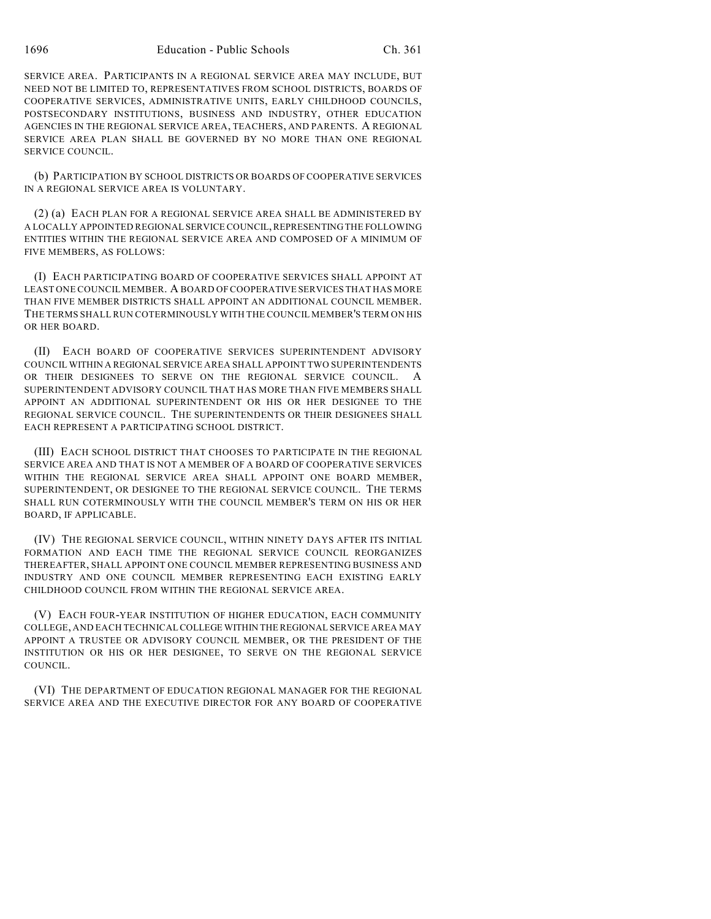SERVICE AREA. PARTICIPANTS IN A REGIONAL SERVICE AREA MAY INCLUDE, BUT NEED NOT BE LIMITED TO, REPRESENTATIVES FROM SCHOOL DISTRICTS, BOARDS OF COOPERATIVE SERVICES, ADMINISTRATIVE UNITS, EARLY CHILDHOOD COUNCILS, POSTSECONDARY INSTITUTIONS, BUSINESS AND INDUSTRY, OTHER EDUCATION AGENCIES IN THE REGIONAL SERVICE AREA, TEACHERS, AND PARENTS. A REGIONAL SERVICE AREA PLAN SHALL BE GOVERNED BY NO MORE THAN ONE REGIONAL SERVICE COUNCIL.

(b) PARTICIPATION BY SCHOOL DISTRICTS OR BOARDS OF COOPERATIVE SERVICES IN A REGIONAL SERVICE AREA IS VOLUNTARY.

(2) (a) EACH PLAN FOR A REGIONAL SERVICE AREA SHALL BE ADMINISTERED BY A LOCALLY APPOINTED REGIONAL SERVICE COUNCIL, REPRESENTING THE FOLLOWING ENTITIES WITHIN THE REGIONAL SERVICE AREA AND COMPOSED OF A MINIMUM OF FIVE MEMBERS, AS FOLLOWS:

(I) EACH PARTICIPATING BOARD OF COOPERATIVE SERVICES SHALL APPOINT AT LEAST ONE COUNCIL MEMBER. A BOARD OF COOPERATIVE SERVICES THAT HAS MORE THAN FIVE MEMBER DISTRICTS SHALL APPOINT AN ADDITIONAL COUNCIL MEMBER. THE TERMS SHALL RUN COTERMINOUSLY WITH THE COUNCIL MEMBER'S TERM ON HIS OR HER BOARD.

(II) EACH BOARD OF COOPERATIVE SERVICES SUPERINTENDENT ADVISORY COUNCIL WITHIN A REGIONAL SERVICE AREA SHALL APPOINT TWO SUPERINTENDENTS OR THEIR DESIGNEES TO SERVE ON THE REGIONAL SERVICE COUNCIL. A SUPERINTENDENT ADVISORY COUNCIL THAT HAS MORE THAN FIVE MEMBERS SHALL APPOINT AN ADDITIONAL SUPERINTENDENT OR HIS OR HER DESIGNEE TO THE REGIONAL SERVICE COUNCIL. THE SUPERINTENDENTS OR THEIR DESIGNEES SHALL EACH REPRESENT A PARTICIPATING SCHOOL DISTRICT.

(III) EACH SCHOOL DISTRICT THAT CHOOSES TO PARTICIPATE IN THE REGIONAL SERVICE AREA AND THAT IS NOT A MEMBER OF A BOARD OF COOPERATIVE SERVICES WITHIN THE REGIONAL SERVICE AREA SHALL APPOINT ONE BOARD MEMBER, SUPERINTENDENT, OR DESIGNEE TO THE REGIONAL SERVICE COUNCIL. THE TERMS SHALL RUN COTERMINOUSLY WITH THE COUNCIL MEMBER'S TERM ON HIS OR HER BOARD, IF APPLICABLE.

(IV) THE REGIONAL SERVICE COUNCIL, WITHIN NINETY DAYS AFTER ITS INITIAL FORMATION AND EACH TIME THE REGIONAL SERVICE COUNCIL REORGANIZES THEREAFTER, SHALL APPOINT ONE COUNCIL MEMBER REPRESENTING BUSINESS AND INDUSTRY AND ONE COUNCIL MEMBER REPRESENTING EACH EXISTING EARLY CHILDHOOD COUNCIL FROM WITHIN THE REGIONAL SERVICE AREA.

(V) EACH FOUR-YEAR INSTITUTION OF HIGHER EDUCATION, EACH COMMUNITY COLLEGE, AND EACH TECHNICAL COLLEGE WITHIN THE REGIONAL SERVICE AREA MAY APPOINT A TRUSTEE OR ADVISORY COUNCIL MEMBER, OR THE PRESIDENT OF THE INSTITUTION OR HIS OR HER DESIGNEE, TO SERVE ON THE REGIONAL SERVICE COUNCIL.

(VI) THE DEPARTMENT OF EDUCATION REGIONAL MANAGER FOR THE REGIONAL SERVICE AREA AND THE EXECUTIVE DIRECTOR FOR ANY BOARD OF COOPERATIVE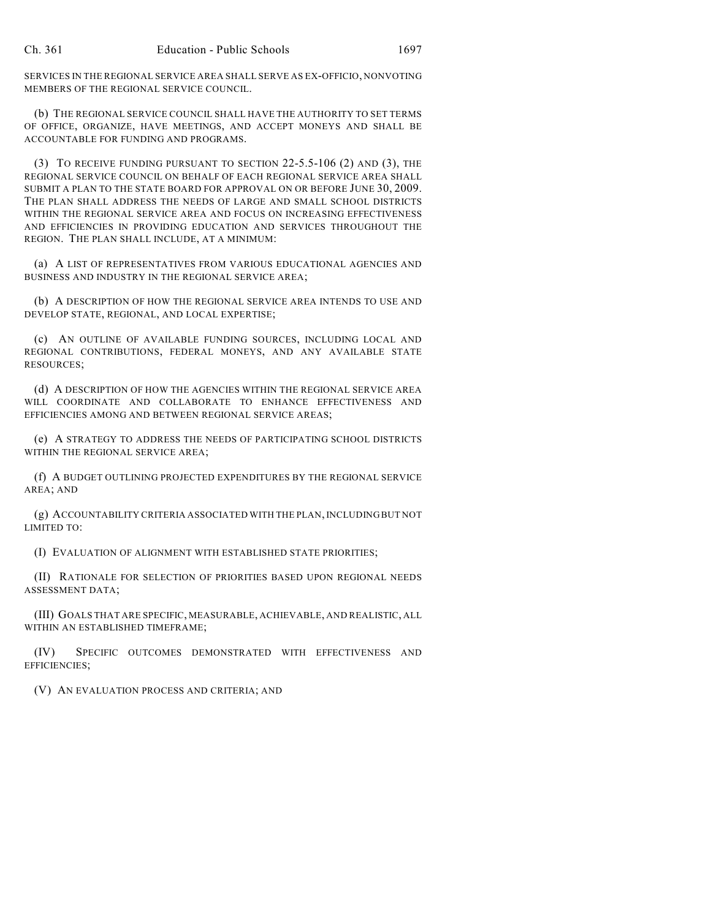SERVICES IN THE REGIONAL SERVICE AREA SHALL SERVE AS EX-OFFICIO, NONVOTING MEMBERS OF THE REGIONAL SERVICE COUNCIL.

(b) THE REGIONAL SERVICE COUNCIL SHALL HAVE THE AUTHORITY TO SET TERMS OF OFFICE, ORGANIZE, HAVE MEETINGS, AND ACCEPT MONEYS AND SHALL BE ACCOUNTABLE FOR FUNDING AND PROGRAMS.

(3) TO RECEIVE FUNDING PURSUANT TO SECTION 22-5.5-106 (2) AND (3), THE REGIONAL SERVICE COUNCIL ON BEHALF OF EACH REGIONAL SERVICE AREA SHALL SUBMIT A PLAN TO THE STATE BOARD FOR APPROVAL ON OR BEFORE JUNE 30, 2009. THE PLAN SHALL ADDRESS THE NEEDS OF LARGE AND SMALL SCHOOL DISTRICTS WITHIN THE REGIONAL SERVICE AREA AND FOCUS ON INCREASING EFFECTIVENESS AND EFFICIENCIES IN PROVIDING EDUCATION AND SERVICES THROUGHOUT THE REGION. THE PLAN SHALL INCLUDE, AT A MINIMUM:

(a) A LIST OF REPRESENTATIVES FROM VARIOUS EDUCATIONAL AGENCIES AND BUSINESS AND INDUSTRY IN THE REGIONAL SERVICE AREA;

(b) A DESCRIPTION OF HOW THE REGIONAL SERVICE AREA INTENDS TO USE AND DEVELOP STATE, REGIONAL, AND LOCAL EXPERTISE;

(c) AN OUTLINE OF AVAILABLE FUNDING SOURCES, INCLUDING LOCAL AND REGIONAL CONTRIBUTIONS, FEDERAL MONEYS, AND ANY AVAILABLE STATE RESOURCES;

(d) A DESCRIPTION OF HOW THE AGENCIES WITHIN THE REGIONAL SERVICE AREA WILL COORDINATE AND COLLABORATE TO ENHANCE EFFECTIVENESS AND EFFICIENCIES AMONG AND BETWEEN REGIONAL SERVICE AREAS;

(e) A STRATEGY TO ADDRESS THE NEEDS OF PARTICIPATING SCHOOL DISTRICTS WITHIN THE REGIONAL SERVICE AREA;

(f) A BUDGET OUTLINING PROJECTED EXPENDITURES BY THE REGIONAL SERVICE AREA; AND

(g) ACCOUNTABILITY CRITERIA ASSOCIATED WITH THE PLAN, INCLUDING BUT NOT LIMITED TO:

(I) EVALUATION OF ALIGNMENT WITH ESTABLISHED STATE PRIORITIES;

(II) RATIONALE FOR SELECTION OF PRIORITIES BASED UPON REGIONAL NEEDS ASSESSMENT DATA;

(III) GOALS THAT ARE SPECIFIC, MEASURABLE, ACHIEVABLE, AND REALISTIC, ALL WITHIN AN ESTABLISHED TIMEFRAME;

(IV) SPECIFIC OUTCOMES DEMONSTRATED WITH EFFECTIVENESS AND EFFICIENCIES;

(V) AN EVALUATION PROCESS AND CRITERIA; AND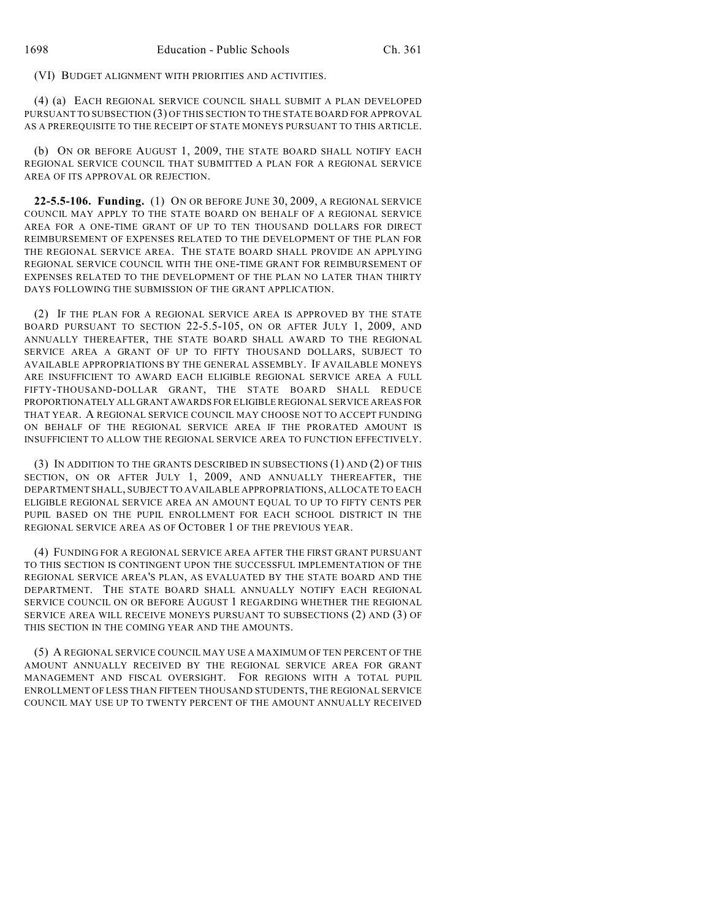(VI) BUDGET ALIGNMENT WITH PRIORITIES AND ACTIVITIES.

(4) (a) EACH REGIONAL SERVICE COUNCIL SHALL SUBMIT A PLAN DEVELOPED PURSUANT TO SUBSECTION (3) OF THIS SECTION TO THE STATE BOARD FOR APPROVAL AS A PREREQUISITE TO THE RECEIPT OF STATE MONEYS PURSUANT TO THIS ARTICLE.

(b) ON OR BEFORE AUGUST 1, 2009, THE STATE BOARD SHALL NOTIFY EACH REGIONAL SERVICE COUNCIL THAT SUBMITTED A PLAN FOR A REGIONAL SERVICE AREA OF ITS APPROVAL OR REJECTION.

**22-5.5-106. Funding.** (1) ON OR BEFORE JUNE 30, 2009, A REGIONAL SERVICE COUNCIL MAY APPLY TO THE STATE BOARD ON BEHALF OF A REGIONAL SERVICE AREA FOR A ONE-TIME GRANT OF UP TO TEN THOUSAND DOLLARS FOR DIRECT REIMBURSEMENT OF EXPENSES RELATED TO THE DEVELOPMENT OF THE PLAN FOR THE REGIONAL SERVICE AREA. THE STATE BOARD SHALL PROVIDE AN APPLYING REGIONAL SERVICE COUNCIL WITH THE ONE-TIME GRANT FOR REIMBURSEMENT OF EXPENSES RELATED TO THE DEVELOPMENT OF THE PLAN NO LATER THAN THIRTY DAYS FOLLOWING THE SUBMISSION OF THE GRANT APPLICATION.

(2) IF THE PLAN FOR A REGIONAL SERVICE AREA IS APPROVED BY THE STATE BOARD PURSUANT TO SECTION 22-5.5-105, ON OR AFTER JULY 1, 2009, AND ANNUALLY THEREAFTER, THE STATE BOARD SHALL AWARD TO THE REGIONAL SERVICE AREA A GRANT OF UP TO FIFTY THOUSAND DOLLARS, SUBJECT TO AVAILABLE APPROPRIATIONS BY THE GENERAL ASSEMBLY. IF AVAILABLE MONEYS ARE INSUFFICIENT TO AWARD EACH ELIGIBLE REGIONAL SERVICE AREA A FULL FIFTY-THOUSAND-DOLLAR GRANT, THE STATE BOARD SHALL REDUCE PROPORTIONATELY ALL GRANT AWARDS FOR ELIGIBLE REGIONAL SERVICE AREAS FOR THAT YEAR. A REGIONAL SERVICE COUNCIL MAY CHOOSE NOT TO ACCEPT FUNDING ON BEHALF OF THE REGIONAL SERVICE AREA IF THE PRORATED AMOUNT IS INSUFFICIENT TO ALLOW THE REGIONAL SERVICE AREA TO FUNCTION EFFECTIVELY.

(3) IN ADDITION TO THE GRANTS DESCRIBED IN SUBSECTIONS (1) AND (2) OF THIS SECTION, ON OR AFTER JULY 1, 2009, AND ANNUALLY THEREAFTER, THE DEPARTMENT SHALL, SUBJECT TO AVAILABLE APPROPRIATIONS, ALLOCATE TO EACH ELIGIBLE REGIONAL SERVICE AREA AN AMOUNT EQUAL TO UP TO FIFTY CENTS PER PUPIL BASED ON THE PUPIL ENROLLMENT FOR EACH SCHOOL DISTRICT IN THE REGIONAL SERVICE AREA AS OF OCTOBER 1 OF THE PREVIOUS YEAR.

(4) FUNDING FOR A REGIONAL SERVICE AREA AFTER THE FIRST GRANT PURSUANT TO THIS SECTION IS CONTINGENT UPON THE SUCCESSFUL IMPLEMENTATION OF THE REGIONAL SERVICE AREA'S PLAN, AS EVALUATED BY THE STATE BOARD AND THE DEPARTMENT. THE STATE BOARD SHALL ANNUALLY NOTIFY EACH REGIONAL SERVICE COUNCIL ON OR BEFORE AUGUST 1 REGARDING WHETHER THE REGIONAL SERVICE AREA WILL RECEIVE MONEYS PURSUANT TO SUBSECTIONS (2) AND (3) OF THIS SECTION IN THE COMING YEAR AND THE AMOUNTS.

(5) A REGIONAL SERVICE COUNCIL MAY USE A MAXIMUM OF TEN PERCENT OF THE AMOUNT ANNUALLY RECEIVED BY THE REGIONAL SERVICE AREA FOR GRANT MANAGEMENT AND FISCAL OVERSIGHT. FOR REGIONS WITH A TOTAL PUPIL ENROLLMENT OF LESS THAN FIFTEEN THOUSAND STUDENTS, THE REGIONAL SERVICE COUNCIL MAY USE UP TO TWENTY PERCENT OF THE AMOUNT ANNUALLY RECEIVED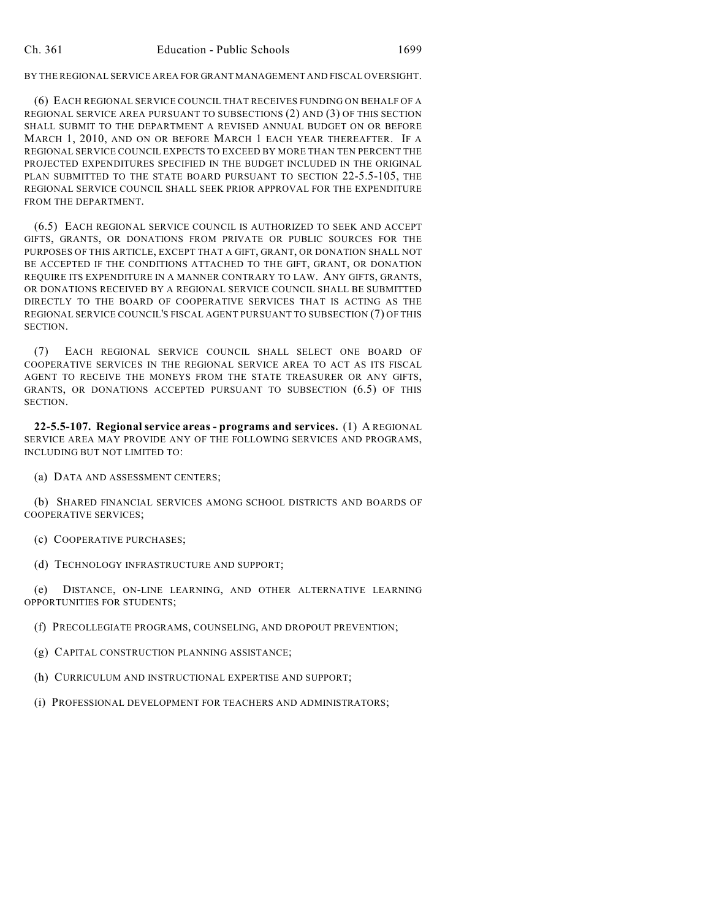BY THE REGIONAL SERVICE AREA FOR GRANT MANAGEMENT AND FISCAL OVERSIGHT.

(6) EACH REGIONAL SERVICE COUNCIL THAT RECEIVES FUNDING ON BEHALF OF A REGIONAL SERVICE AREA PURSUANT TO SUBSECTIONS (2) AND (3) OF THIS SECTION SHALL SUBMIT TO THE DEPARTMENT A REVISED ANNUAL BUDGET ON OR BEFORE MARCH 1, 2010, AND ON OR BEFORE MARCH 1 EACH YEAR THEREAFTER. IF A REGIONAL SERVICE COUNCIL EXPECTS TO EXCEED BY MORE THAN TEN PERCENT THE PROJECTED EXPENDITURES SPECIFIED IN THE BUDGET INCLUDED IN THE ORIGINAL PLAN SUBMITTED TO THE STATE BOARD PURSUANT TO SECTION 22-5.5-105, THE REGIONAL SERVICE COUNCIL SHALL SEEK PRIOR APPROVAL FOR THE EXPENDITURE FROM THE DEPARTMENT.

(6.5) EACH REGIONAL SERVICE COUNCIL IS AUTHORIZED TO SEEK AND ACCEPT GIFTS, GRANTS, OR DONATIONS FROM PRIVATE OR PUBLIC SOURCES FOR THE PURPOSES OF THIS ARTICLE, EXCEPT THAT A GIFT, GRANT, OR DONATION SHALL NOT BE ACCEPTED IF THE CONDITIONS ATTACHED TO THE GIFT, GRANT, OR DONATION REQUIRE ITS EXPENDITURE IN A MANNER CONTRARY TO LAW. ANY GIFTS, GRANTS, OR DONATIONS RECEIVED BY A REGIONAL SERVICE COUNCIL SHALL BE SUBMITTED DIRECTLY TO THE BOARD OF COOPERATIVE SERVICES THAT IS ACTING AS THE REGIONAL SERVICE COUNCIL'S FISCAL AGENT PURSUANT TO SUBSECTION (7) OF THIS **SECTION** 

(7) EACH REGIONAL SERVICE COUNCIL SHALL SELECT ONE BOARD OF COOPERATIVE SERVICES IN THE REGIONAL SERVICE AREA TO ACT AS ITS FISCAL AGENT TO RECEIVE THE MONEYS FROM THE STATE TREASURER OR ANY GIFTS, GRANTS, OR DONATIONS ACCEPTED PURSUANT TO SUBSECTION (6.5) OF THIS SECTION.

**22-5.5-107. Regional service areas - programs and services.** (1) A REGIONAL SERVICE AREA MAY PROVIDE ANY OF THE FOLLOWING SERVICES AND PROGRAMS, INCLUDING BUT NOT LIMITED TO:

(a) DATA AND ASSESSMENT CENTERS;

(b) SHARED FINANCIAL SERVICES AMONG SCHOOL DISTRICTS AND BOARDS OF COOPERATIVE SERVICES;

(c) COOPERATIVE PURCHASES;

(d) TECHNOLOGY INFRASTRUCTURE AND SUPPORT;

(e) DISTANCE, ON-LINE LEARNING, AND OTHER ALTERNATIVE LEARNING OPPORTUNITIES FOR STUDENTS;

(f) PRECOLLEGIATE PROGRAMS, COUNSELING, AND DROPOUT PREVENTION;

(g) CAPITAL CONSTRUCTION PLANNING ASSISTANCE;

(h) CURRICULUM AND INSTRUCTIONAL EXPERTISE AND SUPPORT;

(i) PROFESSIONAL DEVELOPMENT FOR TEACHERS AND ADMINISTRATORS;